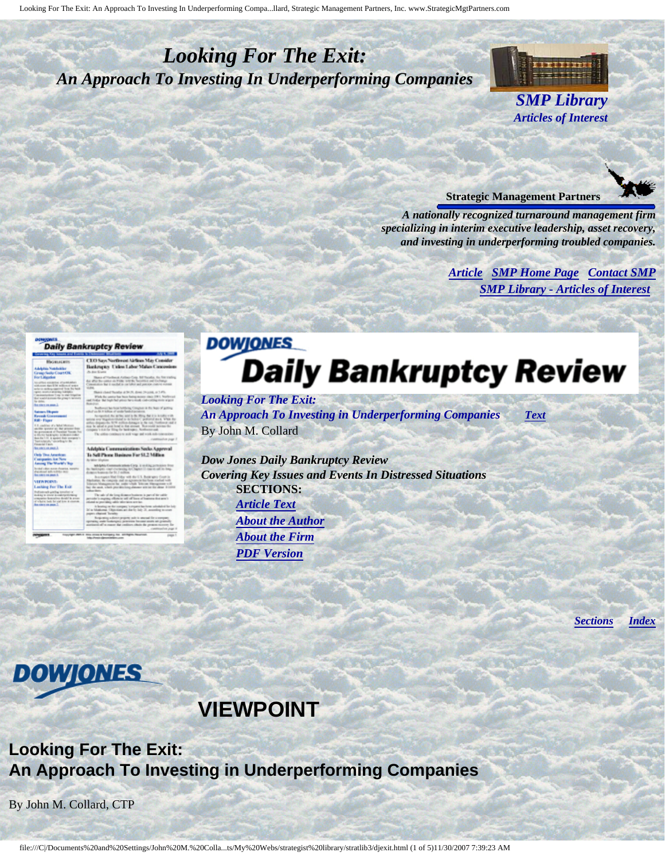# <span id="page-0-4"></span><span id="page-0-3"></span>*Looking For The Exit: An Approach To Investing In Underperforming Companies*



**Strategic Management Partners**

*A nationally recognized turnaround management firm specializing in interim executive leadership, asset recovery, and investing in underperforming troubled companies.*

> *[Article](#page-0-0) [SMP Home Page](http://members.aol.com/strategist/home.html#TOP) [Contact SMP](#page-3-0) [SMP Library - Articles of Interest](http://members.aol.com/stratlib3/libindx.html#TOP)*

#### <span id="page-0-0"></span>**Daily Bankruptcy Review**

CEO Sun North

# Highist

<span id="page-0-2"></span>days Far \$1.2 Mills

# **DOWIONES Daily Bankruptcy Review**

*Looking For The Exit: An Approach To Investing in Underperforming Companies [Text](#page-0-1)* By John M. Collard

*Dow Jones Daily Bankruptcy Review Covering Key Issues and Events In Distressed Situations*  **SECTIONS:** *[Article Text](#page-0-1) [About the Author](#page-2-0) [About the Firm](#page-3-1) [PDF Version](http://members.aol.com/stratlib3/djexit.pdf)*

*[Sections](#page-0-2) [Index](#page-0-3)*

 **VIEWPOINT**

## **Looking For The Exit: An Approach To Investing in Underperforming Companies**

By John M. Collard, CTP

<span id="page-0-1"></span>**DOWONES**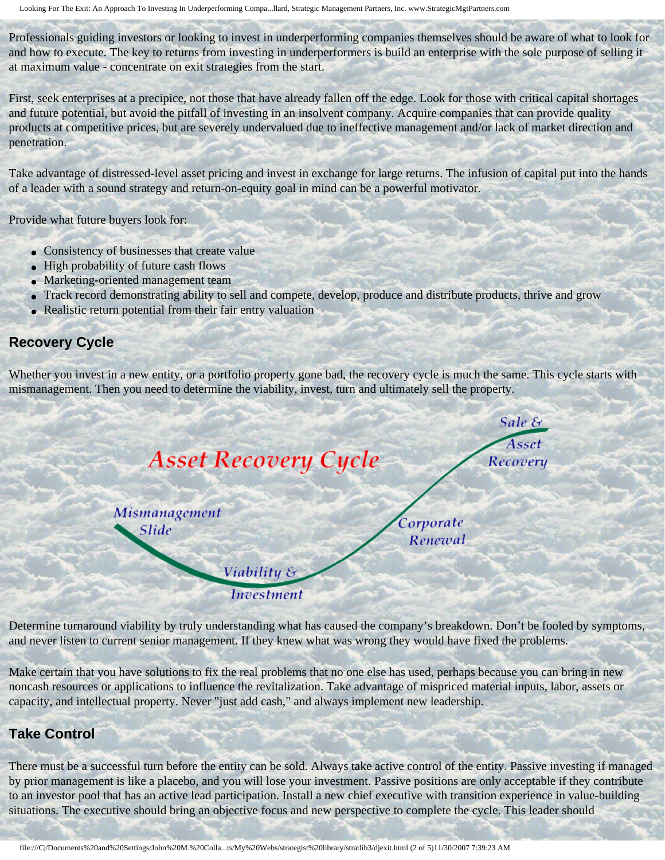Looking For The Exit: An Approach To Investing In Underperforming Compa...llard, Strategic Management Partners, Inc. www.StrategicMgtPartners.com

Professionals guiding investors or looking to invest in underperforming companies themselves should be aware of what to look for and how to execute. The key to returns from investing in underperformers is build an enterprise with the sole purpose of selling it at maximum value - concentrate on exit strategies from the start.

First, seek enterprises at a precipice, not those that have already fallen off the edge. Look for those with critical capital shortages and future potential, but avoid the pitfall of investing in an insolvent company. Acquire companies that can provide quality products at competitive prices, but are severely undervalued due to ineffective management and/or lack of market direction and penetration.

Take advantage of distressed-level asset pricing and invest in exchange for large returns. The infusion of capital put into the hands of a leader with a sound strategy and return-on-equity goal in mind can be a powerful motivator.

Provide what future buyers look for:

- Consistency of businesses that create value
- High probability of future cash flows
- Marketing-oriented management team
- Track record demonstrating ability to sell and compete, develop, produce and distribute products, thrive and grow
- Realistic return potential from their fair entry valuation

#### **Recovery Cycle**

Whether you invest in a new entity, or a portfolio property gone bad, the recovery cycle is much the same. This cycle starts with mismanagement. Then you need to determine the viability, invest, turn and ultimately sell the property.

| <b>Asset Recovery Cycle</b> | Sale &<br>Asset<br>Recovery |
|-----------------------------|-----------------------------|
| Mismanagement<br>Slide      | Corporate<br>Renewal        |
| Viability &                 |                             |
| <b>Investment</b>           |                             |

Determine turnaround viability by truly understanding what has caused the company's breakdown. Don't be fooled by symptoms, and never listen to current senior management. If they knew what was wrong they would have fixed the problems.

Make certain that you have solutions to fix the real problems that no one else has used, perhaps because you can bring in new noncash resources or applications to influence the revitalization. Take advantage of mispriced material inputs, labor, assets or capacity, and intellectual property. Never "just add cash," and always implement new leadership.

#### **Take Control**

There must be a successful turn before the entity can be sold. Always take active control of the entity. Passive investing if managed by prior management is like a placebo, and you will lose your investment. Passive positions are only acceptable if they contribute to an investor pool that has an active lead participation. Install a new chief executive with transition experience in value-building situations. The executive should bring an objective focus and new perspective to complete the cycle. This leader should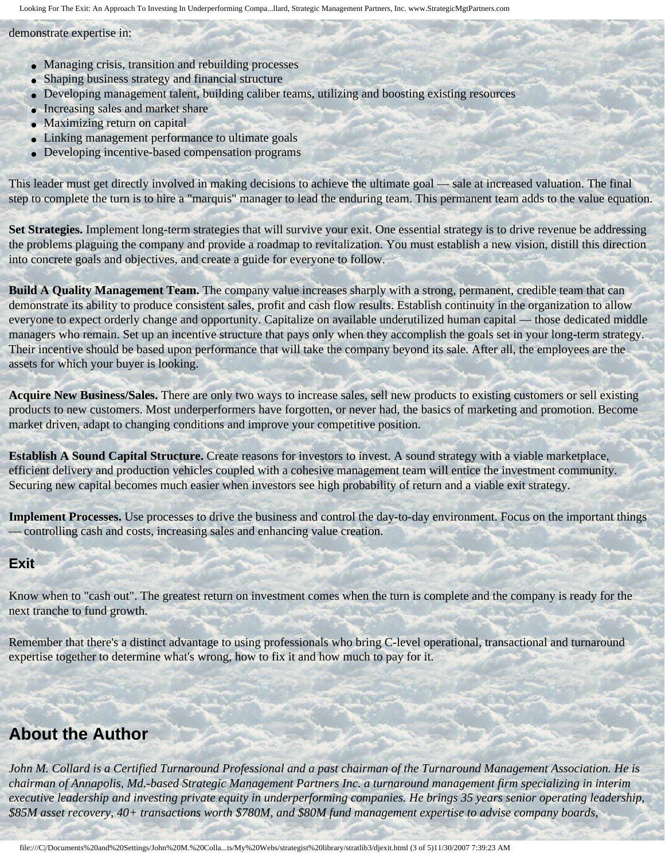Looking For The Exit: An Approach To Investing In Underperforming Compa...llard, Strategic Management Partners, Inc. www.StrategicMgtPartners.com

demonstrate expertise in:

- Managing crisis, transition and rebuilding processes
- Shaping business strategy and financial structure
- Developing management talent, building caliber teams, utilizing and boosting existing resources
- Increasing sales and market share
- Maximizing return on capital
- Linking management performance to ultimate goals
- Developing incentive-based compensation programs

This leader must get directly involved in making decisions to achieve the ultimate goal — sale at increased valuation. The final step to complete the turn is to hire a "marquis" manager to lead the enduring team. This permanent team adds to the value equation.

**Set Strategies.** Implement long-term strategies that will survive your exit. One essential strategy is to drive revenue be addressing the problems plaguing the company and provide a roadmap to revitalization. You must establish a new vision, distill this direction into concrete goals and objectives, and create a guide for everyone to follow.

**Build A Quality Management Team.** The company value increases sharply with a strong, permanent, credible team that can demonstrate its ability to produce consistent sales, profit and cash flow results. Establish continuity in the organization to allow everyone to expect orderly change and opportunity. Capitalize on available underutilized human capital — those dedicated middle managers who remain. Set up an incentive structure that pays only when they accomplish the goals set in your long-term strategy. Their incentive should be based upon performance that will take the company beyond its sale. After all, the employees are the assets for which your buyer is looking.

**Acquire New Business/Sales.** There are only two ways to increase sales, sell new products to existing customers or sell existing products to new customers. Most underperformers have forgotten, or never had, the basics of marketing and promotion. Become market driven, adapt to changing conditions and improve your competitive position.

**Establish A Sound Capital Structure.** Create reasons for investors to invest. A sound strategy with a viable marketplace, efficient delivery and production vehicles coupled with a cohesive management team will entice the investment community. Securing new capital becomes much easier when investors see high probability of return and a viable exit strategy.

**Implement Processes.** Use processes to drive the business and control the day-to-day environment. Focus on the important things — controlling cash and costs, increasing sales and enhancing value creation.

#### **Exit**

Know when to "cash out". The greatest return on investment comes when the turn is complete and the company is ready for the next tranche to fund growth.

Remember that there's a distinct advantage to using professionals who bring C-level operational, transactional and turnaround expertise together to determine what's wrong, how to fix it and how much to pay for it.

## <span id="page-2-0"></span>**About the Author**

*John M. Collard is a Certified Turnaround Professional and a past chairman of the Turnaround Management Association. He is chairman of Annapolis, Md.-based Strategic Management Partners Inc. a turnaround management firm specializing in interim executive leadership and investing private equity in underperforming companies. He brings 35 years senior operating leadership, \$85M asset recovery, 40+ transactions worth \$780M, and \$80M fund management expertise to advise company boards,*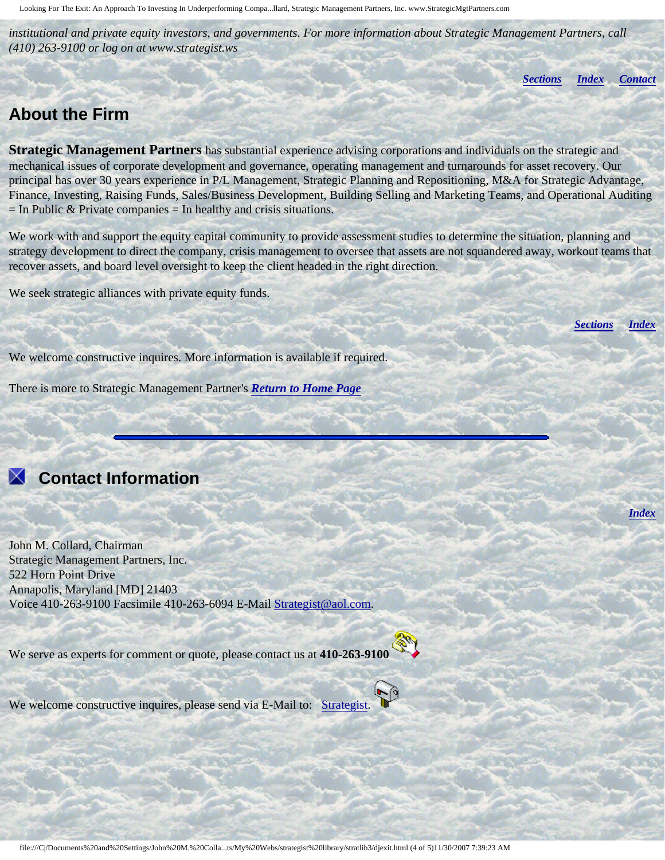Looking For The Exit: An Approach To Investing In Underperforming Compa...llard, Strategic Management Partners, Inc. www.StrategicMgtPartners.com

*institutional and private equity investors, and governments. For more information about Strategic Management Partners, call (410) 263-9100 or log on at www.strategist.ws*

*[Sections](#page-0-2) [Index](#page-0-3) [Contact](#page-3-0)*

### <span id="page-3-1"></span>**About the Firm**

**Strategic Management Partners** has substantial experience advising corporations and individuals on the strategic and mechanical issues of corporate development and governance, operating management and turnarounds for asset recovery. Our principal has over 30 years experience in P/L Management, Strategic Planning and Repositioning, M&A for Strategic Advantage, Finance, Investing, Raising Funds, Sales/Business Development, Building Selling and Marketing Teams, and Operational Auditing  $=$  In Public & Private companies  $=$  In healthy and crisis situations.

We work with and support the equity capital community to provide assessment studies to determine the situation, planning and strategy development to direct the company, crisis management to oversee that assets are not squandered away, workout teams that recover assets, and board level oversight to keep the client headed in the right direction.

We seek strategic alliances with private equity funds.

*[Sections](#page-0-2) [Index](#page-0-3)*

*[Index](#page-0-3)*

We welcome constructive inquires. More information is available if required.

There is more to Strategic Management Partner's *[Return to Home Page](http://members.aol.com/strategist/home.html#TOP)*

# <span id="page-3-0"></span> **Contact Information**

John M. Collard, Chairman Strategic Management Partners, Inc. 522 Horn Point Drive Annapolis, Maryland [MD] 21403 Voice 410-263-9100 Facsimile 410-263-6094 E-Mail [Strategist@aol.com.](mailto:Strategist@aol.com?subject=SMPlibrary/feature articles)

We serve as experts for comment or quote, please contact us at **410-263-9100** 



We welcome constructive inquires, please send via E-Mail to: [Strategist.](mailto:Strategist@aol.com?subject=SMPlibrary/feature articles)